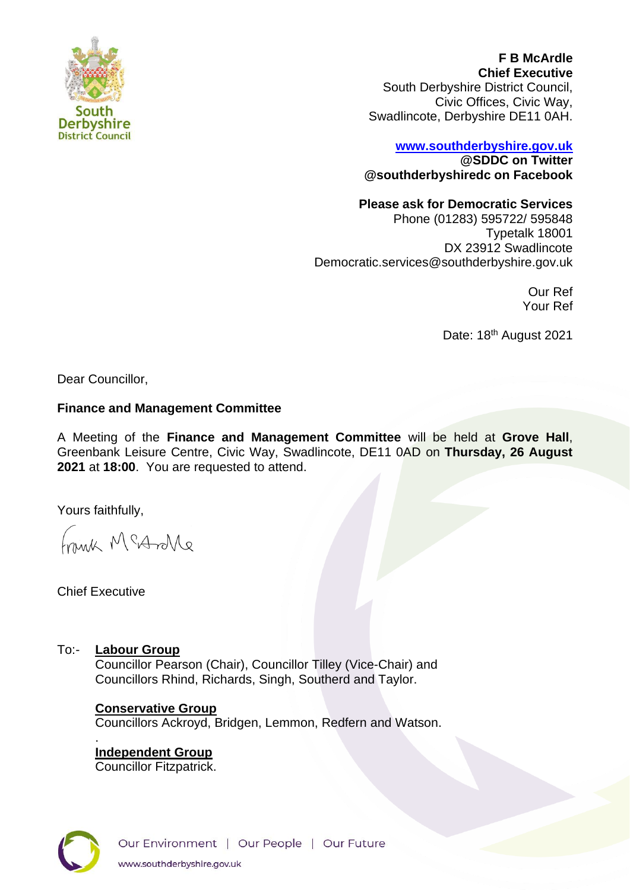

**F B McArdle Chief Executive** South Derbyshire District Council, Civic Offices, Civic Way, Swadlincote, Derbyshire DE11 0AH.

# **[www.southderbyshire.gov.uk](http://www.southderbyshire.gov.uk/) @SDDC on Twitter**

**@southderbyshiredc on Facebook**

## **Please ask for Democratic Services**

Phone (01283) 595722/ 595848 Typetalk 18001 DX 23912 Swadlincote Democratic.services@southderbyshire.gov.uk

> Our Ref Your Ref

Date: 18<sup>th</sup> August 2021

Dear Councillor,

### **Finance and Management Committee**

A Meeting of the **Finance and Management Committee** will be held at **Grove Hall**, Greenbank Leisure Centre, Civic Way, Swadlincote, DE11 0AD on **Thursday, 26 August 2021** at **18:00**. You are requested to attend.

Yours faithfully,

Frank McArlle

Chief Executive

.

To:- **Labour Group**

Councillor Pearson (Chair), Councillor Tilley (Vice-Chair) and Councillors Rhind, Richards, Singh, Southerd and Taylor.

### **Conservative Group**

Councillors Ackroyd, Bridgen, Lemmon, Redfern and Watson.

**Independent Group**  Councillor Fitzpatrick.

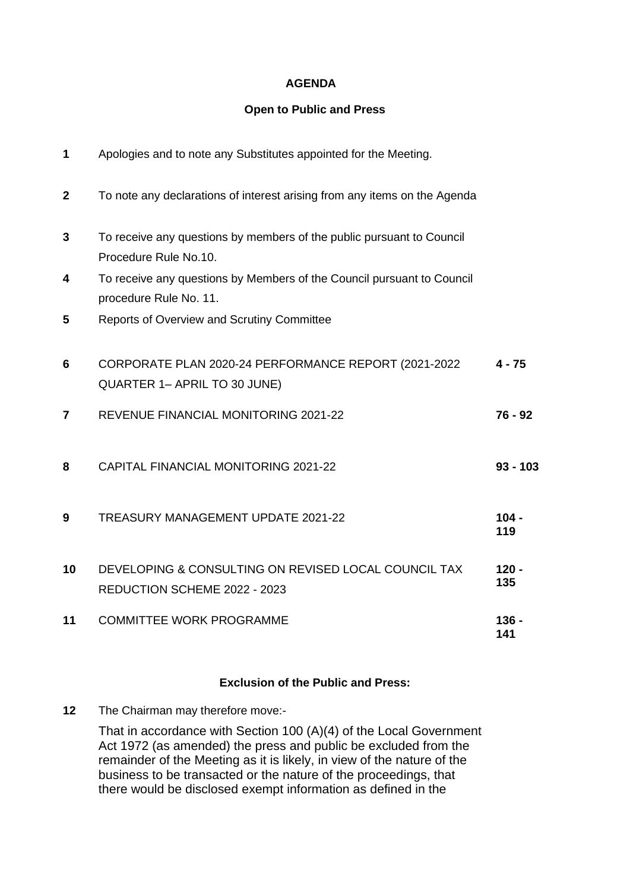#### **AGENDA**

#### **Open to Public and Press**

| 1              | Apologies and to note any Substitutes appointed for the Meeting.                                 |                         |
|----------------|--------------------------------------------------------------------------------------------------|-------------------------|
| $\mathbf{2}$   | To note any declarations of interest arising from any items on the Agenda                        |                         |
| 3              | To receive any questions by members of the public pursuant to Council<br>Procedure Rule No.10.   |                         |
| 4              | To receive any questions by Members of the Council pursuant to Council<br>procedure Rule No. 11. |                         |
| 5              | Reports of Overview and Scrutiny Committee                                                       |                         |
| 6              | CORPORATE PLAN 2020-24 PERFORMANCE REPORT (2021-2022<br>QUARTER 1- APRIL TO 30 JUNE)             | $4 - 75$                |
| $\overline{7}$ | REVENUE FINANCIAL MONITORING 2021-22                                                             | 76 - 92                 |
| 8              | CAPITAL FINANCIAL MONITORING 2021-22                                                             | $93 - 103$              |
| 9              | TREASURY MANAGEMENT UPDATE 2021-22                                                               | $104 -$<br>119          |
| 10             | DEVELOPING & CONSULTING ON REVISED LOCAL COUNCIL TAX<br>REDUCTION SCHEME 2022 - 2023             | $120 -$<br>135          |
| 11             | <b>COMMITTEE WORK PROGRAMME</b>                                                                  | 136 <sub>1</sub><br>141 |

### **Exclusion of the Public and Press:**

**12** The Chairman may therefore move:-

That in accordance with Section 100 (A)(4) of the Local Government Act 1972 (as amended) the press and public be excluded from the remainder of the Meeting as it is likely, in view of the nature of the business to be transacted or the nature of the proceedings, that there would be disclosed exempt information as defined in the